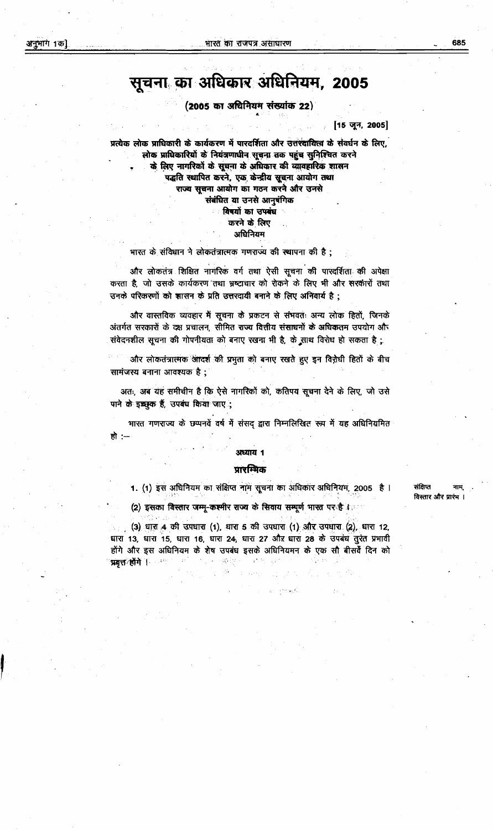#### अनुभाग 1क]

# सूचना का अधिकार अधिनियम, 2005

#### (2005 का अधिनियम संख्यांक 22)

[15 जून, 2005]

प्रत्येक लोक प्राधिकारी के कार्यकरण में पारदर्शिता और उत्तरदायित्व के संवर्धन के लिए, लोक प्राधिकारियों के नियंत्रणाधीन सूचना तक पहुंच सुनिश्चित करने के लिए नागरिकों के सूचना के अधिकार की व्यावहारिक शासन पद्धति स्थापित करने, एक केन्द्रीय सूचना आयोग तथा राज्य सुचना आयोग का गठन करने और उनसे संबंधित या उनसे आनुषंगिक विषयों का उपबंध करने के लिए

### अधिनियम

#### भारत के संविधान ने लोकतंत्रात्मक गणराज्य की स्थापना की है;

और लोकतंत्र शिक्षित नागरिक वर्ग तथा ऐसी सूचना की पारदर्शिता की अपेक्षा करता है, जो उसके कार्यकरण तथा भ्रष्टाचार को रोकने के लिए भी और सरकारों तथा उनके परिकरणों को शासन के प्रति उत्तरदायी बनाने के लिए अनिवार्य है ;

और वास्तविक व्यवहार में सूचना के प्रकटन से संभवतः अन्य लोक हितों, जिनके अंतर्गत सरकारों के दक्ष प्रचालन, सीमित राज्य वित्तीय संसाधनों के अधिकतम उपयोग और संवेदनशील सूचना की गोपनीयता को बनाए रखना भी है, के साथ विरोध हो सकता है ;

और लोकतंत्रात्मक आदर्श की प्रभुता को बनाए रखते हुए इन विरोधी हितों के बीच सामंजस्य बनाना आवश्यक है;

अतः, अब यह समीचीन है कि ऐसे नागरिकों को, कतिपय सूचना देने के लिए, जो उसे पाने के इच्छुक हैं, उपबंध किया जाए ;

भारत गणराज्य के छप्पनवें वर्ष में संसद द्वारा निम्नलिखित रूप में यह अधिनियमित हो :--

## अध्याय १

#### प्रारम्भिक

1. (1) इस अधिनियम का संक्षिप्त नाम सूचना का अधिकार अधिनियम, 2005 है।

(2) इसका विस्तार जम्मू-कश्मीर राज्य के सिवाय सम्पूर्ण भारत पर है ।

(3) धारा 4 की उपधारा (1), धारा 5 की उपधारा (1) और उपधारा (2), धारा 12, धारा 13, धारा 15, धारा 16, धारा 24, धारा 27 और धारा 28 के उपबंध तुरंत प्रभावी होंगे और इस अधिनियम के शेष उपबंध इसके अधिनियमन के एक सौ बीसर्वे दिन को 'प्रयत्त⁄ होंगे । प्राध 将数字之一

संक्षिप्त विस्तार और प्रारंभ ।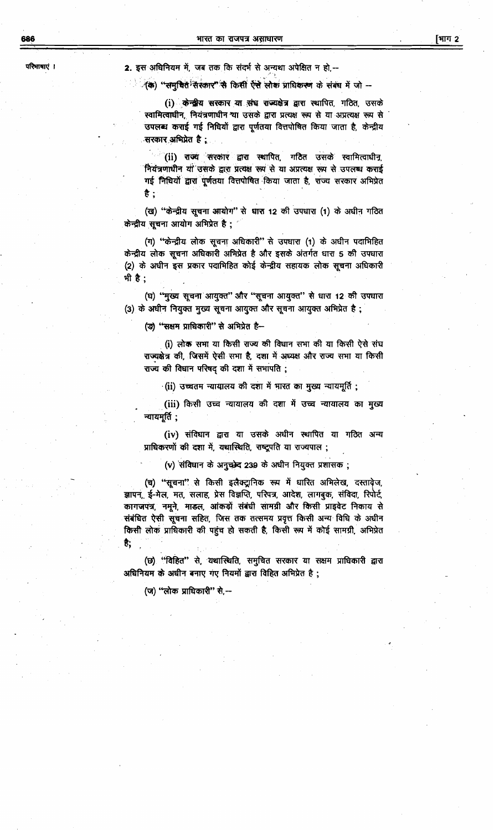686

2. इस अधिनियम में, जब तक कि संदर्भ से अन्यथा अपेक्षित न हो,--

ं(क) "समृचित संरकार" से किसी ऐसे लोक प्राधिकरण के संबंध में जो --

(i) केन्द्रीय सरकार या संघ राज्यक्षेत्र द्वारा स्थापित, गठित, उसके स्वामित्वाधीन, नियंत्रणाधीन था उसके द्वारा प्रत्यक्ष रूप से या अप्रत्यक्ष रूप से उपलब्ध कराई गई निधियों द्वारा पूर्णतया वित्तपोषित किया जाता है, केन्द्रीय -सरकार अभिप्रेत है :

(ii) राज्य सरकार द्वारा स्थापित, गठित उसके स्वामित्वाधीन, नियंत्रणाधीन यो उसके द्वारा प्रत्यक्ष रूप से या अप्रत्यक्ष रूप से उपलब्ध कराई गई निधियों द्वारा पूर्णतया वित्तपोषित किया जाता है, राज्य सरकार अभिप्रेत है :

(ख) "केन्द्रीय सूचना आयोग" से धारा 12 की उपधारा (1) के अधीन गठित केन्द्रीय सूचना आयोग अभिप्रेत है;

(ग) "केन्द्रीय लोक सूचना अधिकारी" से उपधारा (1) के अधीन पदाभिहित केन्द्रीय लोक सूचना अधिकारी अभिप्रेत है और इसके अंतर्गत धारा 5 की उपधारा (2) के अधीन इस प्रकार पदाभिहित कोई केन्द्रीय सहायक लोक सूचना अधिकारी भी है:

(घ) "मुख्य सूचना आयुक्त" और "सूचना आयुक्त" से धारा 12 की उपधारा (3) के अधीन नियुक्त मुख्य सूचना आयुक्त और सूचना आयुक्त अभिप्रेत है;

(ङ) "सक्षम प्राधिकारी" से अभिप्रेत है-

(i) लोक सभा या किसी राज्य की विधान सभा की या किसी ऐसे संघ राज्यक्षेत्र की, जिसमें ऐसी सभा है, दशा में अध्यक्ष और राज्य सभा या किसी राज्य की विधान परिषद् की दशा में सभापति;

(ii) उच्चतम न्यायालय की दशा में भारत का मुख्य न्यायमूर्ति;

(iii) किसी उच्च न्यायालय की दशा में उच्च न्यायालय का मुख्य न्यायमूर्ति ;

(iv) संविधान द्वारा या उसके अधीन स्थापित या गठित अन्य प्राधिकरणों की दशा में, यथास्थिति, राष्ट्रपति या राज्यपाल ;

(v) संविधान के अनुच्छेद 239 के अधीन नियुक्त प्रशासक;

(च) "सूचना" से किसी इलैक्ट्रानिक रूप में धारित अभिलेख, दस्तावेज, ज्ञापन, ई-मेल, मत, सलाह, प्रेस विज्ञप्ति, परिपत्र, आदेश, लागबुक, संविदा, रिपोर्ट, कागजपंत्र, नमूने, माडल, आंकड़ों संबंधी सामग्री और किसी प्राइवेट निकाय से संबंधित ऐसी सूचना सहित, जिस तक तत्समय प्रवृत्त किसी अन्य विधि के अधीन किसी लोक प्राधिकारी की पहुंच हो सकती है, किसी रूप में कोई सामग्री, अभिप्रेत €,

(छ) "विहित" से, यथास्थिति, समुचित सरकार या सक्षम प्राधिकारी द्वारा अधिनियम के अधीन बनाए गए नियमों द्वारा विहित अभिप्रेत है;

(ज) "लोक प्राधिकारी" से,--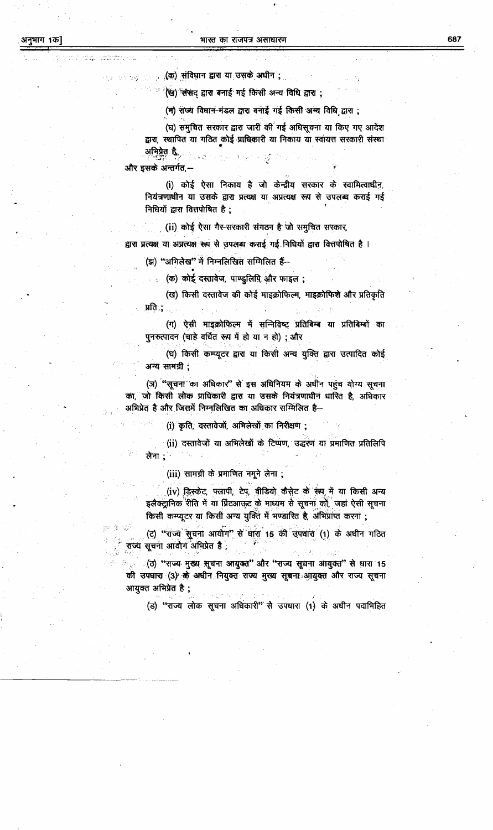<sub>ार ह</sub>्र(क) संविधान द्वारा या उसके अधीन ;

<sup>ः (</sup>ख) संसद द्वारा बनाई गई किसी अन्य विधि द्वारा ;

(म) राज्य विधान-मंडल द्वारा बनाई गई किसी अन्य विधि द्वारा ;

(घ) समचित सरकार द्वारा जारी की गई अधिसूचना या किए गए आदेश द्वारा, स्थापित या गठित कोई प्राधिकारी या निकाय या स्वायत्त सरकारी संस्था अभिप्रेत हैं,  $\leq \gamma$ 

और इसके अन्तर्गत,--

(i) कोई ऐसा निकाय है जो केन्द्रीय सरकार के स्वामित्वाधीन, नियंत्रणाधीन या उसके द्वारा प्रत्यक्ष या अप्रत्यक्ष रूप से उपलब्ध कराई गई निधियों द्वारा वित्तपोषित है;

(ii) कोई ऐसा गैर-सरकारी संगठन है जो समूचित सरकार

द्वारा प्रत्यक्ष या अप्रत्यक्ष रूप से उपलब्ध कराई गई निधियों द्वारा वित्तपोषित है।

(झ) "अभिलेख" में निम्नलिखित सम्मिलित हैं--

: (क) कोई दस्तावेज, पाण्डुलिपि और फाइल;

(ख) किसी दस्तावेज की कोई माइक्रोफिल्म, माइक्रोफिशे और प्रतिकृति ्प्रतिः; ।

(ग) ऐसी माइक्रोफिल्म में सन्निविष्ट् प्रतिबिम्ब या प्रतिबिम्बों का पुनरुत्पादन (चाहे वर्धित रूप में हो या न हो); और

(घ) किसी कम्प्यूटर द्वारा या किसी अन्य युक्ति द्वारा उत्पादित कोई अन्य सामग्री :

(ज) "सूचना का अधिकार" से इस अधिनियम के अधीन पहुंच योग्य सूचना का, जो किसी लोक प्राधिकारी द्वारा या उसके नियंत्रणाधीन धारित है, अधिकार अभिप्रेत है और जिसमें निम्नलिखित का अधिकार सम्मिलित है--

(i) कृति, दस्तावेजों, अभिलेखों का निरीक्षण;

(ii) दस्तावेजों या अभिलेखों के टिप्पण, उद्धरण या प्रमाणित प्रतिलिपि लेना ;ं

(iii) सामग्री के प्रमाणित नमूने लेना;

(iv) डिस्केट, फ्लापी, टेप, वीडियो कैसेट के रूप, में या किसी अन्य इलैक्ट्रानिक रीति में या प्रिंटआकट के माध्यम से सूचना को, जहां ऐसी सूचना किसी कम्प्यूटर या किसी अन्य युक्ति में भण्डारित है, अभिप्राप्त करना ;

(ट) "राज्य सूचना आयोग" से धारा 15 की उपधारा (1) के अधीन गठित राज्य सूचना आयोग अभिप्रेत है ;

् (ठ) ''राज्य मुख्य सूचना आयुक्त'' और ''राज्य सूचना आयुक्त'' से धारा 15  $\sigma_{\rm{Q}}$ की उपघारा (3) के अधीन नियुक्त राज्य मुख्य सूचना आयुक्त और राज्य सूचना आयुक्त अभिप्रेत है ;

(ड) "राज्य लोक सूचना अधिकारी" से उपघारा (1) के अधीन पदाभिहित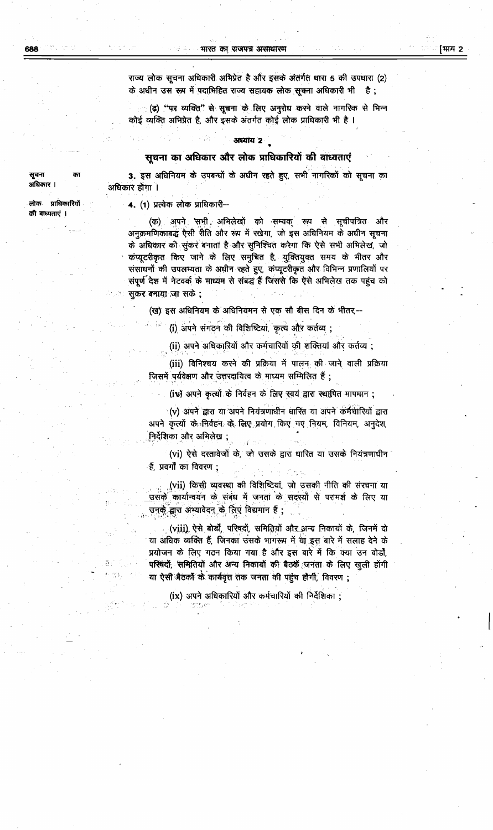भारत का राजपत्र असाधारण

राज्य लोक सूचना अधिकारी अभिप्रेत है और इसके अंतर्गत धारा 5 की उपधारा (2) के अधीन उस रूप में पदाभिहित राज्य सहायक लोक सूचना अधिकारी भी ै है :

(ढ) ''पर व्यक्ति'' से सूचना के लिए अनुरोध करने वाले नागरिक से भिन्न कोई व्यक्ति अभिप्रेत है, और इसके अंतर्गत कोई लोक प्राधिकारी भी है।

#### अध्याय २

#### सूचना का अधिकार और लोक प्राधिकारियों की बाध्यताएं

3. इस अधिनियम के उपबन्धों के अधीन रहते हुए, सभी नागरिकों को सूचना का अधिकार होगा ।

4. (1) प्रत्येक लोक प्राधिकारी--

(क) अपने सभी अभिलेखों को सम्यक् रूप से सूचीपत्रित और अनुक्रमणिकाबद्धं ऐसी रीति और रूप में रखेगा, जो इस अधिनियम के अधीन सूचना के अधिकार को सुकर बनाता है और सुनिश्चित करेगा कि ऐसे सभी अभिलेख, जो कंप्यूटरीकृत किए जाने के लिए समुचित है, युक्तियुक्त समय के भीतर और संसाधनों की उपलभ्यता के अधीन रहते हुए, कंप्यूटरीकृत और विभिन्न प्रणालियों पर संपूर्ण देश में नेटवर्क के माध्यम से संबद्ध हैं जिससे कि ऐसे अभिलेख तक पहुंच को सुकर बनाया जा सके;

(ख) इस अधिनियम के अधिनियमन से एक सौ बीस दिन के भीतर --

(i) अपने संगठन की विशिष्टियां, कृत्य और कर्तव्य;

(ii) अपने अधिकारियों और कर्मचारियों की शक्तियां और कर्तव्य;

(iii) विनिश्चय करने की प्रक्रिया में पालन की जाने वाली प्रक्रिया जिसमें पर्यवेक्षण और उत्तरदायित्व के माध्यम सम्मिलित हैं;

(iv) अपने कृत्यों के निर्वहन के लिए स्वयं द्वारा स्थापित मापमान;

(v) अपने द्वारा या अपने नियंत्रणाधीन धारित या अपने कर्मचारियों द्वारा अपने कृत्यों के निर्वहन के लिए प्रयोग किए गए नियम, विनियम, अनुदेश, .निर्देशिका और अभिलेख ;

(vi) ऐसे दस्तावेजों के, जो उसके द्वारा धारित या उसके नियंत्रणाधीन हैं, प्रवर्गों का विवरण ;

(vii) किसी व्यवस्था की विशिष्टियां, जो उसकी नीति की संरचना या <u>.उसके कार्यान्वयन के संबंध में जनता के सदस्यों से परामर्श के लिए या</u> उनके द्वारा अभ्यावेदन के लिए विद्यमान हैं;

(viii) ऐसे बोर्डों, परिषदों, समितियों और अन्य निकायों के, जिनमें दो या अधिक व्यक्ति हैं, जिनका उसके भागरूप में था इस बारे में सलाह देने के प्रयोजन के लिए गठन किया गया है और इस बारे में कि क्या उन बोर्डों, परिषदों, समितियों और अन्य निकायों की बैठकें जनता के लिए खुली होंगी या ऐसी बैठकों के कार्यवृत्त तक जनता की पहुंच होगी, विवरण ;

(ix) अपने अधिकारियों और कर्मचारियों की निर्देशिका;

सूचना अधिकार ।

लोक प्राधिकारियों क्री बाध्यताएं ।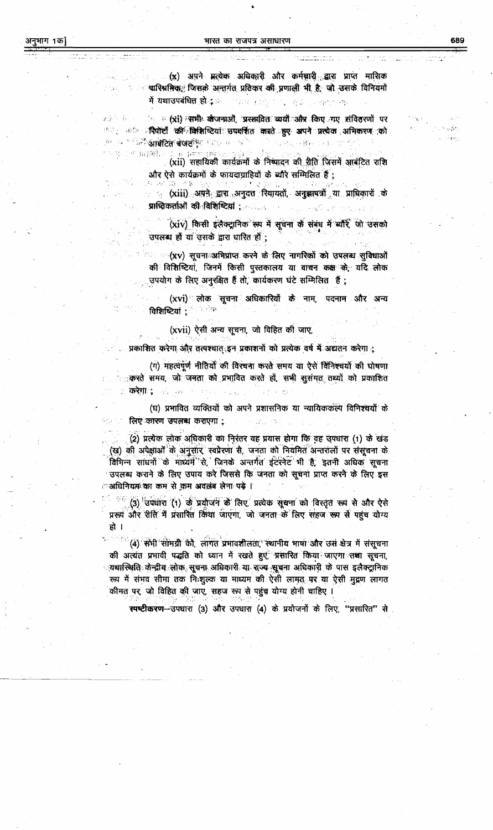. (x) अपने मृत्येक अधिकारी और कर्मचारी द्वारा प्राप्त मासिक ्षारिश्रमिकः जिसके अन्तर्गत प्रतिकर की प्रणाली भी है, जो उसके विनियमों में यथाउपबंधित हो<sub>ं</sub> ब 不能被 复脱口之间 奇奇的 精神的 舉

४७<sup>३</sup> ४ - ९ - १४ - ४ **(xi) त्समी: खेजनाओं, 'प्रस्तावितः' व्ययों और किए नए संवितरणों पर** ा : कांत प्र**चिपोर्टी की विशिष्टियां उपवर्शित करते हुए अपने प्रत्येक अभिकरण को** तम् अत्राधित**ी आंबेटित बेजर्स्टी**स् में इस में उन्होंने का अनुसार अक्षर को सकत

こず 官部制に (xii) सहायिकी कार्यक्रमों के निष्पादन की रीति जिसमें आबंटित राशि और ऐसे कार्यक्रमों के फायदाग्राहियों के ब्यौरे सम्मिलित हैं ;

(6) あいぼ 原族 海泉 向流 くぶもく ः <sub>(</sub> (xiii) अपने द्वारा अनुदत्त रियायतों, अनुझापत्रों या प्राधिकारों के 

(xiv) किसी इलैक्ट्रानिक रूप में सूचना के संबंध में ब्यौरे जो उसको उपलब्ध हों या उसके द्वारा धारित हों;

ं ः (xv) सूचनाःअभिप्राप्त करने के लिए नागरिकों को उपलब्ध सुविधाओं की विशिष्टियां, जिनमें किसी पुस्तकालय या वा<del>चन कक्ष**्के**,</del> यदि लोक उपयोग के लिए अनुरक्षित हैं तो, कार्यकरण घंटे सम्मिलित हैं ;

(xvi) लोक सूचना अधिकारियों के नाम, पदनाम और अन्य विशिष्टियां ; स्वीका

(xvii) ऐसी अन्य सूचना, जो विहित की जाए,

प्रकाशित करेगा और तत्पश्चात इन प्रकाशनों को प्रत्येक वर्ष में अद्यतन करेगा :

(ग) महत्वपूर्ण नीतियों की विरचना करते समय या ऐसे विनिश्चर्यों की घोषणा <u>ः करते समय, जो जनता को प्रभावित करते हों, सभी सुसंगत तथ्यों को प्रकाशित</u> ा **करेगा**र्द जिल्ला

(घ) प्रभावित व्यक्तियों को अपने प्रशासनिक या न्यायिककल्प विनिश्चर्यों के ं लिए कारण उपलब्ध कराएगा :

(2) प्रत्येक लोक अधिकारी का निरंतर यह प्रयास होगा कि वह उपधारा (1) के खंड (ख) की अपेक्षाओं के अनुसार, स्वप्रेरणा से, जनता को नियमित अन्तरालों पर संसूचना के विभिन्न साधनों के माध्यम से, जिनके अन्तर्गत इंटरनेट भी है, इतनी अधिक सूचना उपलब्ध कराने के लिए उपाय करे जिससे कि जनता को सूचना प्राप्त करने के लिए इस ं अधिनियम<sup>्</sup>का कम से कम अवलंब लेना पड़े ।

<sup>26</sup> (3) उपधारा (1) के प्रयोजन के लिए, प्रत्येक सूचना को विस्तृत रूप से और ऐसे प्ररूप और रीति में प्रसारित किया जाएगा, जो जनता के लिए सहज रूप से पहुंच योग्य हो ।

(4) सभी सामग्री को, लागत प्रभावशीलता, स्थानीय भाषा और उस क्षेत्र में संसूचना की अत्यंत प्रभावी पद्धति को ध्यान में रखते हुए, प्रसारित किया जाएगा तथा सूचना, ्यथास्थिति केन्द्रीय लोक सूचना अधिकारी या सज्य सूचना अधिकारी के पास इलैक्ट्रानिक रूप में संभव सीमा तक निःशुल्क या माध्यम की ऐसी लामत पर या ऐसी मुद्रण लागत कीमत पर, जो विहित की जाए, सहज रूप से पहुंच योग्य होनी चाहिए ।

स्पष्टीकरण--उपधारा (3) और उपधारा (4) के प्रयोजनों के लिए, "प्रसारित" से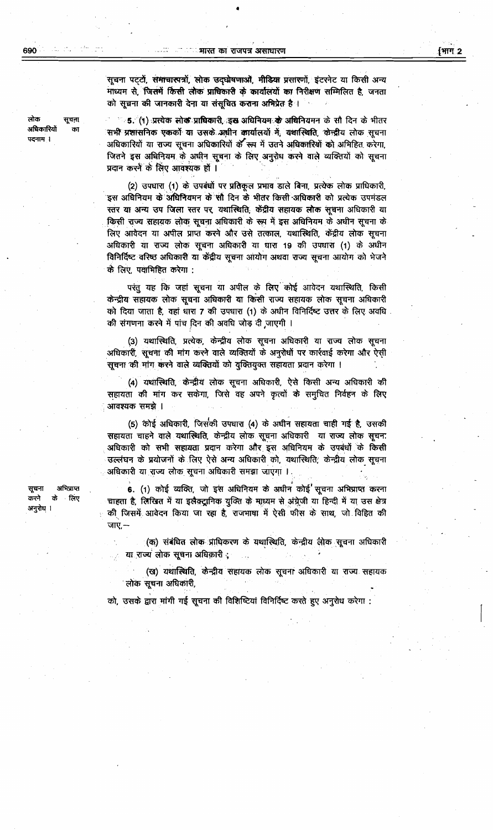सवना

का

लोक

अधिकारियों

पदनाम ।

सूचना पट्टों, समाचारपत्रों, लोक उद्घोषणाओं, मीडिया प्रसारणों, इंटरनेट या किसी अन्य माध्यम से, जिसमें किसी लोक प्राधिकारी के कार्यालयों का निरीक्षण सम्मिलित है, जनता को सूचना की जानकारी देना या संसूचित कराना अभिप्रेत है।

"ं 5. (१) प्रत्येक सोक प्राधिकारी, इस अधिनियम**्के अधि**नियमन के सौ दिन के भीतर सभी प्रशासनिक एककों या उसके अधीन कार्यालयों में, यथास्थिति, केन्द्रीय लोक सूचना अधिकारियों या राज्य सूचना अधिकारियों के रूप में उतने अधिकारियों को अभिहित करेगा, जितने इस अधिनियम के अधीन सूचना के लिए अनुरोध करने वाले व्यक्तियों को सूचना प्रदान करने के लिए आवश्यक हों ।

(2) उपधारा (1) के उपबंधों पर प्रतिकूल प्रभाव डाले बिना, प्रत्येक लोक प्राधिकारी, इस अधिनियम के अधिनियमन के सौ दिन के भीतर किसी अधिकारी को प्रत्येक उपमंडल स्तर या अन्य उप जिला स्तर पर, यथास्थिति, केंद्रीय सहायक लोक सूचना अधिकारी या किसी राज्य सहायक लोक सूचना अधिकारी के रूप में इस अधिनियम के अधीन सूचना के लिए आवेदन या अपील प्राप्त करने और उसे तत्काल, यथास्थिति, केंद्रीय लोक सूचना अधिकारी या राज्य लोक सूचना अधिकारी या घारा 19 की उपधारा (1) के अधीन विनिर्दिष्ट वरिष्ठ अधिकारी या केंद्रीय सूचना आयोग अथवा राज्य सूचना आयोग को भेजने के लिए, पर्वामिहित करेगा :

परंतु यह कि जहां सूचना या अपील के लिए कोई आवेदन यथास्थिति, किसी केन्द्रीय सहायक लोक सूचना अधिकारी या किसी राज्य सहायक लोक सूचना अधिकारी को दिया जाता है, वहां धारा 7 की उपधारा (1) के अधीन विनिर्दिष्ट उत्तर के लिए अवधि की संगणना करने में पांच दिन की अवधि जोड़ दी जाएगी ।

(3) यथास्थिति, प्रत्येक, केन्द्रीय लोक सूचना अधिकारी या राज्य लोक सूचना अधिकारी, सूचना की मांग करने वाले व्यक्तियों के अनुरोधों पर कार्रवाई करेगा और ऐसी सूचना की मांग करने वाले व्यक्तियों को युक्तियुक्त सहायता प्रदान करेगा ।

(4) यथास्थिति, केन्द्रीय लोक सूचना अधिकारी, ऐसे किसी अन्य अधिकारी की सहायता की मांग कर सकेगा, जिसे वह अपने कृत्यों के समुचित निर्वहन के लिए आवश्यक समझे ।

(5) कोई अधिकारी, जिसकी उपधारा (4) के अधीन सहायता चाही गई है, उसकी सहायता चाहने वाले यथास्थिति, केन्द्रीय लोक सूचना अधिकारी या राज्य लोक सूचना अधिकारी को सभी सहायता प्रदान करेगा और इस अधिनियम के उपबंधों के किसी उल्लंघन के प्रयोजनों के लिए ऐसे अन्य अधिकारी को, यथास्थिति, केन्द्रीय लोक सूचना अधिकारी या राज्य लोक सूचना अधिकारी समझा जाएगा ।

6. (1) कोई व्यक्ति, जो इस अधिनियम के अधीन कोई सूचना अभिप्राप्त करना चाहता है, लिखित में या इलैक्ट्रानिक युक्ति के माध्यम से अंग्रेजी या हिन्दी में या उस क्षेत्र की जिसमें आवेदन किया जा रहा है, राजभाषा में ऐसी फीस के साथ, जो विहित की जाए,—

(क) संबंधित लोक प्राधिकरण के यथास्थिति, केन्द्रीय लोक सूचना अधिकारी या राज्य लोक सूचना अधिकारी;

(ख) यथास्थिति, केन्द्रीय सहायक लोक सूचना अधिकारी या राज्य सहायक लोक सूचना अधिकारी,

को, उसके द्वारा मांगी गई सूचना की विशिष्टियां विनिर्दिष्ट करते हुए अनुरोध करेगा :

अभिपाप्त सूचना करने के लिए अनुरोध ।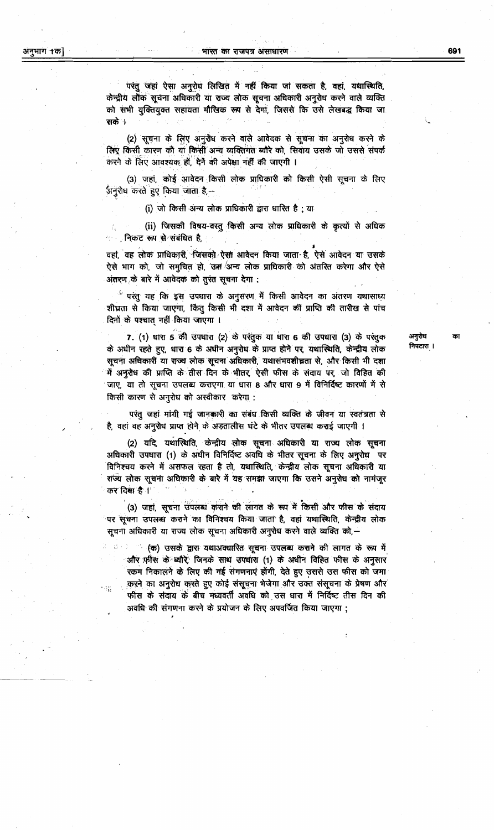परंतु जहां ऐसा अनुरोध लिखित में नहीं किया जा सकता है, वहां, यथास्थिति, केन्द्रीय लौक सूचना अधिकारी या राज्य लोक सूचना अधिकारी अनुरोध करने वाले व्यक्ति को सभी युक्तियुक्त सहायता मौखिक रूप से देगा, जिससे कि उसे लेखबद्ध किया जा सके ।

(2) सूचना के लिए अनुरोध करने वाले आवेदक से सूचना का अनुरोध करने के लिए किसी कारण को या किसी अन्य व्यक्तिगत ब्यौरे को, सिवाय उसके जो उससे संपर्क करने के लिए आवश्यक हों, देने की अपेक्षा नहीं की जाएगी ।

(3) जहां, कोई आवेदन किसी लोक प्राधिकारी को किसी ऐसी सूचना के लिए अनुरोध करते हुए किया जाता है,--

(i) जो किसी अन्य लोक प्राधिकारी द्वारा धारित है ; या

(ii) जिसकी विषय-वस्तु किसी अन्य लोक प्राधिकारी के कृत्यों से अधिक ं निकट रूप से संबंधित है,

वहां, वह लोक प्राधिकारी, जिसको ऐसा आवेदन किया जाता है, ऐसे आवेदन या उसके ऐसे भाग को, जो समुचित हो, 'उस 'अन्य लोक प्राधिकारी को अंतरित करेगा और ऐसे अंतरण के बारे में आवेदक को तुरंत सूचना देगा :

ें परंतु यह कि इस उपधारा के अनुसरण में किसी आवेदन का अंतरण यथासाध्य शीघ्रता से किया जाएगा, किंतु किसी भी दशा में आवेदन की प्राप्ति की तारीख से पांच दिनों के पश्चात् नहीं किया जाएगा ।

7. (1) धारा 5 की उपधारा (2) के परंतुक या धारा 6 की उपधारा (3) के परंतुक के अधीन रहते हुए, धारा 6 के अधीन अनुरोध के प्राप्त होने पर, यथास्थिति, केन्द्रीय लोक सूचना अधिकारी या राज्य लोक सूचना अधिकारी, यथासंभवशीघ्रता से, और किसी भी दशा में अनुरोध की प्राप्ति के तीस दिन के भीतर ऐसी फीस के संदाय पर जो विहित की जाए, या तो सूचना उपलब्ध कराएगा या धारा 8 और धारा 9 में विनिर्दिष्ट कारणों में से किसी कारण से अनुरोध को अस्वीकार करेगा :

परंतु जहां मांगी गई जानकारी का संबंध किसी व्यक्ति के जीवन या स्वतंत्रता से है, वहां वह अनुरोध प्राप्त होने के अड़तालीस घंटे के भीतर उपलब्ध कराई जाएगी ।

(2) यदि, यथास्थिति, केन्द्रीय लोक सूचना अधिकारी या राज्य लोक सूचना अधिकारी उपधारा (1) के अधीन विनिर्दिष्ट अवधि के भीतर सूचना के लिए अनुरोध पर विनिश्चय करने में असफल रहता है तो, यथास्थिति, केन्द्रीय लोक सूचना अधिकारी या राज्य लोक सूचना अधिकारी के बारे में यह समझा जाएगा कि उसने अनुरोध को नामंजूर कर दिया है।

(3) जहां, सूचना उपलब्ध कराने की लागत के रूप में किसी और फीस के संदाय ंपर सूचना उपलब्ध कराने का विनिश्चय किया जाता है, वहां यथास्थिति, केन्द्रीय लोक सूचना अधिकारी या राज्य लोक सूचना अधिकारी अनुरोध करने वाले व्यक्ति को,—

ं (क) उसके द्वारा यथाअक्धारित सूचना उपलब्ध कराने की लागत के रूप में और फ़ीस के ध्यौरे जिनके साथ उपघारा (1) के अधीन विहित फीस के अनुसार रकम निकालने के लिए की गई संगणनाएं होंगी, देते हुए उससे उस फीस को जमा करने का अनुरोध करते हुए कोई संसूचना भेजेगा और उक्त संसूचना के प्रेषण और फीस के संदाय के बीच मध्यवर्ती अवधि को उस धारा में निर्दिष्ट तीस दिन की अवधि की संगणना करने के प्रयोजन के लिए अपवर्जित किया जाएगा ;

अनुरोध निपटारा । का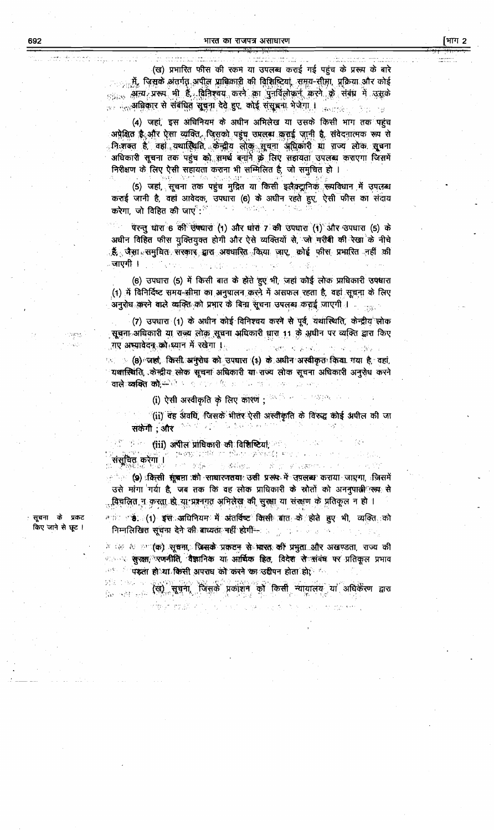(ख) प्रभारित फीस की रकम या उपलब्ध कराई गई पहुंच के प्ररूप के बारे <sub>ा ह</sub>में, जिसके अंतर्गत अपील प्राधिकारी की विशिष्टियां, समय-सीमा, प्रक्रिया और कोई  $_{551.8}$  अन्य प्ररूप भी हैं विनिश्चय करने का पुनर्विलोकन करने के संबंध में उसके . <sub>परत</sub>अधिकार से संबंधित सूचना देवे हुए, कोई संसूचना भेजेगा । <sub>उत्पाद</sub>्ध  $35 - 18$ 

(4) जहां, इस अधिनियम के अधीन अभिलेख या उसके किसी भाग तक पहुंच अप्रेक्षित है.और ऐसा व्यक्ति, जिसको पहुंच उपलब्ध कराई जानी है. संवेदनात्मक रूप से निःशक्त है, वहां यथास्थिति, केन्द्रीय लोक्, सूचना अधिकारी या राज्य लोक सूचना अधिकारी सूचना तक पहुंच को समर्थ बनाने के लिए सहायता उपलब्ध कराएगा जिसमें निरीक्षण के लिए ऐसी सहायता कराना भी सम्मिलित है, जो समुचित हो ।

(5) जहां, सूचना तक पहुंच मुद्रित या किसी इलैक्ट्रानिक रूपविधान में उपलब्ध कराई जानी है, वहां आवेदक, उपधारा (6) के अधीन रहते हुए, ऐसी फीस का संदाय<br>स्टेग्स को विविच की दर्जा की संग्रह के संकटन के लिए से संदाय  $\alpha_{\rm{M}}$  ,  $\beta_{\rm{M}}$  , करेगा, जो विहित की जाए $^{\circ}$ :  $^{\circ}$ 

परन्तु धारा 6 की उपधारा (1) और धारा 7 की उपधारा (1) और उपधारा (5) के अधीन विहित फीस युक्तियुक्त होगी और ऐसे व्यक्तियों से, जो गरीबी की रेखा के नीचे ्हैं, जैसा समुचित सरकार द्वारा अवधारित किया जाए, कोई फीस प्रभारित नहीं की ाजाएगी ।

(6) उपधारा (5) में किसी बात के होते हुए भी, जहां कोई लोक प्राधिकारी उपधारा (1) में विनिर्दिष्ट समय-सीमा का अनुपालन करने में असफल रहता है, वहां सूचना के लिए अनुरोध करने वाले व्यक्ति को प्रभार के बिना सूचना उपलब्ध कराई जाएगी । . . . . .

(7) उपधारा (1) के अधीन कोई विनिश्चय करने से पूर्व, यथास्थिति, केन्द्रीय लोक सूचना अधिकारी या राज्य लोक सूचना अधिकारी धारा 11 के अधीन पर व्यक्ति द्वारा किए गए अस्यावेदन को ध्यान में रखेगा । 90点: FWL 发音N2 ( T) 单。( )

ः (8) जहां, किसी अमुरोध को उपघारा (1) के अधीन अस्वीकृत किया गया है, वहां, यथास्थिति, केन्द्रीय लोक सूचना अधिकारी या राज्य लोक सूचना अधिकारी अनुरोध करने **वाले व्यक्ति कों,**स्पेरी आर्य राज्य की प्रतापनि चल है एक

(i) ऐसी अस्वीकृति के लिए कारण ; <sup>असल</sup> मान मालहक

(ii) वह अंवधि, जिसके भीतर ऐसी अस्वीकृति के विरुद्ध कोई अपील की जा  $\mathcal{P}(\mathcal{P}(\mathcal{A}^{\mathcal{P}}_{\mathcal{A}}),\mathcal{P}_{\mathcal{A}})$ 化透线 化两中 सकेंगी : और

ें हैं के **सारें। अपील प्राधिकारी की विशिष्टियां,** ?

संसूचित करेगा । 100 可能产业或的  $\label{eq:3.1} \begin{split} \mathcal{C}^{\mathcal{C}}_{\mathcal{C}}&=\mathcal{C}^{\mathcal{C}}_{\mathcal{C}}\left(\mathcal{C}^{\mathcal{C}}_{\mathcal{C}}\right)\mathcal{L}^{\mathcal{C}}_{\mathcal{C}}\left(\sqrt{\mathcal{A}}\nabla^{\mathcal{C}}\mathcal{C}^{\mathcal{C}}\right)\times\cdots, \end{split}$ : २००० (9) :किसी सूंखना :की साधारणतया: उसी प्ररूप में उपलब्ध कराया जाएगा, जिसमें उसे मांगा<sup>ं</sup>गर्या है, जब तक कि वह लोक प्राधिकारी के स्रोतों को अननुपात्<del>ल</del>िरूम से <u>. विचलित न करता हो या प्रश्ननगत अभिलेख की सुरक्षा या संरक्षण के प्रतिकूल न हो ।</u>

ਾਲ ਕਲ ਗਿੱਕੇ ਹਾਂ ਸਿੰਘਾ ਅਲੇਖਕੀ ਲਾਗਰ

त्यारे संग्रह. (1) इसे अधिनियम में अंतर्विष्ट किसी बात के होते हुए भी, व्यक्ति को निम्नलिखित सूचना देने की बाध्यता नहीं होगीं- $\label{eq:1} \begin{bmatrix} \delta_{\mu\nu} & \delta_{\mu\nu} & \delta_{\mu\nu} & \delta_{\mu\nu} \\ \delta_{\mu\nu} & \delta_{\mu\nu} & \delta_{\mu\nu} & \delta_{\mu\nu} \end{bmatrix} \begin{bmatrix} \delta_{\mu\nu} & \delta_{\mu\nu} \\ \delta_{\mu\nu} & \delta_{\mu\nu} \end{bmatrix}$ 

े के साथ (क) सूचना, जिसके प्रकटन से भारत की प्रभुता और अखण्डता, राज्य की ः - <del>सुरक्षा, रणनीति, वैज्ञानिक या आर्थिक हित, विदेश से संबंध पर प्रतिकूल प्रभाव</del> <sup>तक ह</sup>ं पड़ता हो या किसी अपराध को करने का उद्दीपन होता हो,<sup>ह</sup>ं

ः स्वी सूचना जिसके प्रकाशन को किसी न्यायालय या अधिकेरण द्वारा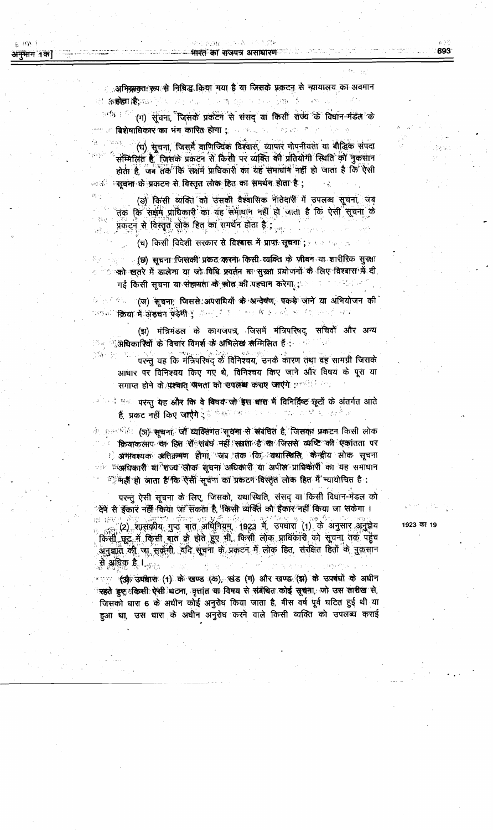्र स्था

्रअभिव्यवतः रूपः से निषिद्ध किया गया है या जिसके प्रकटन से न्यायालय का अवमान ्राक्षर है। **Castle** St ਲੀ **ਨਿਲ਼ੇਗ ਹੈ;**ਸਲ <sup>201</sup>ੇ ਹਨ ਰੋੜ ਹੈ ਜਾਬੇ ਉਹ ਇਹਨਾ

<sup>ार्च</sup> (ग) सूचना, जिसके प्रकटन से संसद या किसी राज्य के विद्यान-मंडल के ं बिशेषाधिकार का भंग कारित होगा ;  $\mathcal{D}^{\mu\nu}$ gas

(घ) सूचना, जिसमै वाणिज्यिक विश्वास, व्यापार गोपनीयता या बौद्धिक संपदा ं सम्मिलित है, जिसके प्रकटन से किसी पर व्यक्ति की प्रतियोगी स्थिति को नुकसान होता है, जब तक कि सक्षम प्राधिकारी का यह समाधान नहीं हो जाता है कि ऐसी ः सूचना के प्रकटन से विस्तृत लोक हित का समर्थन होता है ;

(ड) किसी व्यक्ति को उसकी वैश्वासिक नातेदारी में उपलब्ध सूचना, जब तक कि सक्षम प्राधिकारी का यह समाधान नहीं हो जाता है कि ऐसी सूचना के प्रकटन से विस्तृतें लोक हित का समर्थन होता है;

(च) किसी विदेशी सरकार से विश्वास में प्राप्त सूचना ; ..............

्र(छ) सूचना जिसकी प्रकट करना किसी व्यक्ति के जीवन या शारीरिक सुरक्षा 출시 사업은 ं को खतरे में डालेगा या जो विधि प्रवर्तन या सुस्का प्रयोजनों के लिए विश्वास में दी गई किसी सूचना या संहायता के स्रोत की पहचान करेगा ;

ं सिंह के पुरुष के सूचना, जिससे अपराधियों के अन्देषण, पकड़े जाने या अभियोजन की ज्याला क्रिया में अडचन पंडेमी पुलिस कर है कि 不一生食 机回收器 经保险信息收益

(झ) मंत्रिमंडल के कागजपत्र, जिसमें मंत्रिपरिषद्, सचिवों और अन्य ं < ्राअधिकारियों के विचार विमर्श के अभिलेख सम्मिलित हैं :-, g

2차 20 परन्तु यह कि मंत्रिपरिषद् के विनिश्चय, उनके कारण तथा वह सामग्री जिसके आधार पर विनिश्चय किए गए थे, विनिश्चय किए जाने और विषय के पूरा या समाप्त होने के पश्चात् जनता को उपलब्ध कराए जाएंगे : स्वीति ?

<sup>व र</sup>ाने प<sup>ू</sup>ं परन्तु यह और कि वे विषय जो इस बारा में विनिर्दिष्ट छूटों के अंतर्गत आते हैं, प्रकट नहीं किए जाएंगे ; सिक्कों कर सकता क  $\label{eq:2.1} \mathcal{A}_{\mathbf{q},\mathbf{q}}^{(1)} = \mathcal{A}_{\mathbf{q},\mathbf{q}}^{(1)} \mathcal{A}_{\mathbf{q},\mathbf{q}}^{(2)}$ 

ं अल्लंडी (ज) <del>सूच</del>ना, जो व्यक्तिगत सूचना से संबंधित है, जिसका प्रकटन किसी लोक ः क्रियाकलाप या हित से संबंध नहीं रखता है *या* जिससे व्यष्टि की एकांतता पर े अमावश्यक अतिक्रमण होगा, जब तक कि व्यथास्थिति, केन्द्रीय लोक सूचना ं "उक्रधिकारी य**िंशज्य सो**क सूचना अधिकारी या अपील प्राधिकारी का यह समाधान ं नहीं हो आता है कि ऐसी सूर्वमा का प्रकटन विस्तृत लोक हित मैं न्यायोचित है:

परन्तु ऐसी सूचना के लिए, जिसको, यथास्थिति, संसद् या किसी विधान-मंडल को ेक्ष्मे से ईकार नहीं किया जा सकता है, किसी व्यक्ति को ईकार नहीं किया जा सकेगा । (2) श्रीसंकीय गुप्त बात अधिनियम्, 1923 में उपघारा (1) के अनुसार अनुक्रय किसी छूट में किसी बात के होते हुए भी, किसी लोक प्राधिकारी को सूचना तक पहुंच अनुज्ञात की जा सकेंगी, यदि सूचना के प्रकटन में लोक हित, संरक्षित हितों के नुकसान

से अधिक है । <sub>परिव</sub> ः , <del>(अ) उपवा</del>रा (1) के खण्ड (क), खंड (ग) और खण्ड (झ) के उपबंधों के अधीन त्रहते हुए किसी ऐसी धटना, वृत्तांत या विषय से संबंधित कोई सूचना, जो उस तारीख से, जिसको धारा 6 के अधीन कोई अनुरोध किया जाता है, बीस वर्ष पूर्व घटित हुई थी या हुआ था, उस धारा के अधीन अनुरोध करने वाले किसी व्यक्ति को उपलब्ध कराई 1923 का 19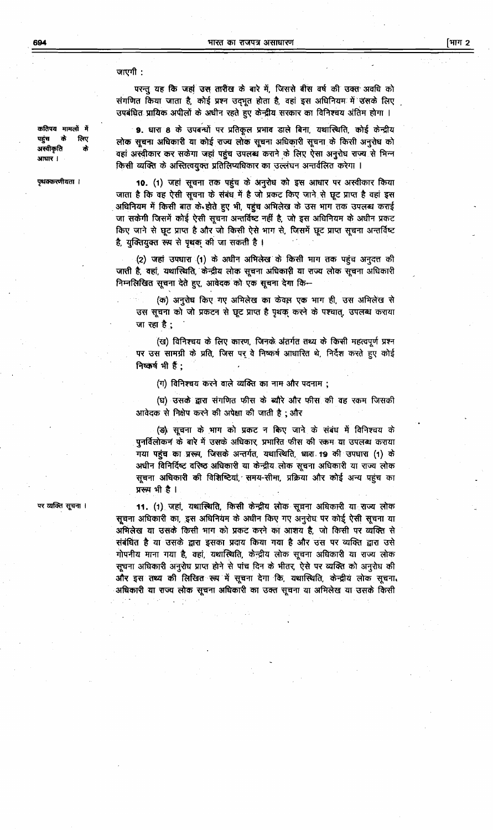जाएगी :

परन्तु यह कि जहां उस तारीख के बारे में, जिससे बीस वर्ष की उक्त अवधि को संगणित किया जाता है, कोई प्रश्न उद्भूत होता है, वहां इस अधिनियम में उसके लिए उपबंधित प्रायिक अपीलों के अधीन रहते हुए केन्द्रीय सरकार का विनिश्चय अंतिम होगा ।

9. धारा 8 के उपबन्धों पर प्रतिकूल प्रभाव डाले बिना, यथास्थिति, कोई केन्द्रीय लोक सूचना अधिकारी या कोई राज्य लोक सूचना अधिकारी सूचना के किसी अनुरोध को वहां अस्वीकार कर सकेगा जहां पहुंच उपलब्ध कराने के लिए ऐसा अनुरोध राज्य से भिन्न किसी व्यक्ति के अस्तित्वयुक्त प्रतिलिप्यधिकार का उल्लंघन अन्तर्वलित करेगा ।

10. (1) जहां सूचना तक पहुंच के अनुरोध को इस आधार पर अस्वीकार किया जाता है कि वह ऐसी सूचना के संबंध में है जो प्रकट किए जाने से छूट प्राप्त है वहां इस अधिनियम में किसी बात के होते हुए भी, पहुंच अभिलेख के उस भाग तक उपलब्ध कराई जा सकेगी जिसमें कोई ऐसी सूचना अन्तर्विष्ट नहीं है, जो इस अधिनियम के अधीन प्रकट किए जाने से छूट प्राप्त है और जो किसी ऐसे भाग से, जिसमें छूट प्राप्त सूचना अन्तर्विष्ट है, युक्तियुक्त रूप से पृथक की जा सकती है।

(2) जहां उपधारा (1) के अधीन अभिलेख के किसी भाग तक पहुंच अनुदत्त की जाती है, वहां, यथास्थिति, केन्द्रीय लोक सूचना अधिकारी या राज्य लोक सूचना अधिकारी निम्नलिखित सूचना देते हुए, आवेदक को एक सूचना देगा कि+

(क) अनुरोध किए गए अभिलेख का केवल एक भाग ही, उस अभिलेख से उस सूचना को जो प्रकटन से छूट प्राप्त है पृथक करने के पश्चात्, उपलब्ध कराया जा रहा है;

(ख) विनिश्चय के लिए कारण, जिनके अंतर्गत तथ्य के किसी महत्वपूर्ण प्रश्न पर उस सामग्री के प्रति, जिस पर वे निष्कर्ष आधारित थे, निर्देश करते हुए कोई निष्कर्ष भी हैं;

(ग) विनिश्चय करने वाले व्यक्ति का नाम और पदनाम;

(घ) उसके द्वारा संगणित फीस के ब्यौरे और फीस की वह रकम जिसकी आवेदक से निक्षेप करने की अपेक्षा की जाती है; और

(ड) सूचना के भाग को प्रकट न किए जाने के संबंध में विनिश्चय के पुनर्विलोकन के बारे में उसके अधिकार, प्रभारित फीस की रकम या उपलब्ध कराया गया पहुंच का प्ररूप, जिसके अन्तर्गत, यथास्थिति, धारा 19 की उपधारा (1) के अधीन विनिर्दिष्ट वरिष्ठ अधिकारी या केन्द्रीय लोक सूचना अधिकारी या राज्य लोक सूचना अधिकारी की विशिष्टियां, समय-सीमा, प्रक्रिया और कोई अन्य पहुंच का प्ररूप भी है।

11. (1) जहां, यथास्थिति, किसी केन्द्रीय लोक सूचना अधिकारी या राज्य लोक सूचना अधिकारी का, इस अधिनियम के अधीन किए गए अनुरोध पर कोई ऐसी सूचना या अभिलेख या उसके किसी भाग को प्रकट करने का आशय है, जो किसी पर व्यक्ति से संबंधित है या उसके द्वारा इसका प्रदाय किया गया है और उस पर व्यक्ति द्वारा उसे गोपनीय माना गया है, वहां, यथास्थिति, केन्द्रीय लोक सूचना अधिकारी या राज्य लोक सूचना अधिकारी अनुरोध प्राप्त होने से पांच दिन के भीतर, ऐसे पर व्यक्ति को अनुरोध की और इस तथ्य की लिखित रूप में सूचना देगा कि, यथास्थिति, केन्द्रीय लोक सूचना. अधिकारी या राज्य लोक सूचना अधिकारी का उक्त सूचना या अभिलेख या उसके किसी

पर व्यक्ति सूचना ।

कतिपय मामलों में लिए पहंच के अस्वीकृति आधार ।

पृथक्करणीयता ।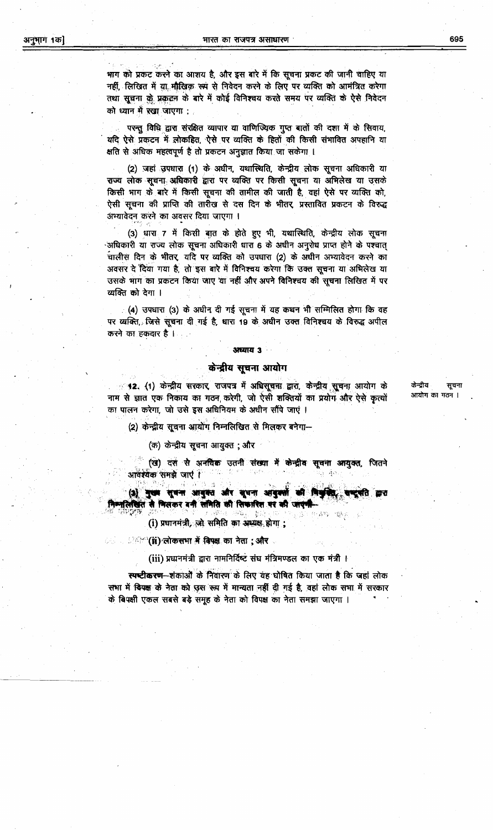भाग को प्रकट करने का आशय है, और इस बारे में कि सूचना प्रकट की जानी चाहिए या नहीं, लिखित में या मौखिक रूप से निवेदन करने के लिए पर व्यक्ति को आमंत्रित करेगा तथा सूचना के प्रकटन के बारे में कोई विनिश्चय करते समय पर व्यक्ति के ऐसे निवेदन को ध्यान में रखा जाएगा :

परन्तु विधि द्वारा संरक्षित व्यापार या वाणिज्यिक गुप्त बातों की दशा में के सिवाय, यदि ऐसे प्रकटन में लोकहित, ऐसे पर व्यक्ति के हितों की किसी संभावित अपहानि या क्षति से अधिक महत्वपूर्ण है तो प्रकटन अनुज्ञात किया जा सकेगा ।

(2) जहां उपधारा (1) के अधीन, यथास्थिति, केन्द्रीय लोक सूचना अधिकारी या राज्य लोक सूचना अधिकारी द्वारा पर व्यक्ति पर किसी सूचना या अभिलेख या उसके किसी भाग के बारे में किसी सूचना की तामील की जाती है, वहां ऐसे पर व्यक्ति को, ऐसी सूचना की प्राप्ति की तारीख से दस दिन के भीतर, प्रस्तावित प्रकटन के विरुद्ध अभ्यावेदन करने का अवसर दिया जाएगा ।

(3) धारा 7 में किसी बात के होते हुए भी, यथास्थिति, केन्द्रीय लोक सूचना अधिकारी या राज्य लोक सूचना अधिकारी धारा 6 के अधीन अनुरोध प्राप्त होने के पश्चात् चालीस दिन के भीतर, यदि पर व्यक्ति को उपधारा (2) के अधीन अभ्यावेदन करने का अवसर दे दिया गया है, तो इस बारे में विनिश्चय करेगा कि उक्त सूचना या अभिलेख या उसके भाग का प्रकटन किया जाए या नहीं और अपने विनिश्चय की सूचना लिखित में पर व्यक्ति को देगा ।

. (4) उपधारा (3) के अधीन दी गई सूचना में यह कथन भी सम्मिलित होगा कि वह पर व्यक्ति, जिसे सूचना दी गई है, धारा 19 के अधीन उक्त विनिश्चय के विरुद्ध अपील करने का हकदार है।

#### अध्याय 3

## केन्द्रीय सूचना आयोग

42. (1) केन्द्रीय सरकार, राजपत्र में अधिसूचना द्वारा, केन्द्रीय सूचना आयोग के नाम से ज्ञात एक निकाय का गठन करेगी, जो ऐसी शक्तियों का प्रयोग और ऐसे कृत्यों का पालन करेगा, जो उसे इस अधिनियम के अधीन सौंपे जाएं ।

(2) केन्द्रीय सूचना आयोग निम्नलिखित से मिलकर बनेगा-

(क) केन्द्रीय सूचना आयुक्त ; और

(ख) दस से अनविक उतनी संख्या में केन्द्रीव सूचना आयुक्त, जितने आवर्श्यक समझे जाएं।

(३) नुख्य सूचना आयुक्त और सूचना आयुक्तों की विश्वविद्य सा नतिखित से मिलकर बनी समिति की सिफारिश पर की जाएगी

化离析

(i) प्रधानमंत्री, जो समिति का अध्यक्ष होगा;

ि (ii) लोकसभा में विपक्ष का नेता ; और

(iii) प्रधानमंत्री द्वारा नामनिर्दिष्ट संघ मंत्रिमण्डल का एक मंत्री ।

स्पष्टीकरण-शंकाओं के निवारण के लिए यह घोषित किया जाता है कि जहां लोक सभा में विपक्ष के नेता को उस रूप में मान्यता नहीं दी गई है, वहां लोक सभा में सरकार के विपक्षी एकल सबसे बड़े समूह के नेता को विपक्ष का नेता समझा जाएगा ।

केन्दीय सचना आयोग का गठन ।